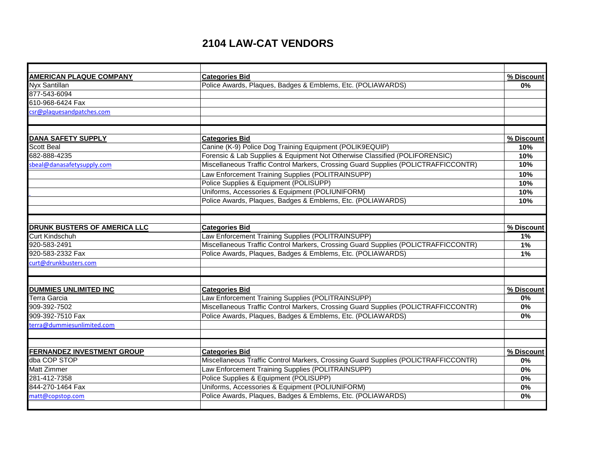## **2104 LAW-CAT VENDORS**

| <b>AMERICAN PLAQUE COMPANY</b>                 | <b>Categories Bid</b>                                                              | % Discount |
|------------------------------------------------|------------------------------------------------------------------------------------|------------|
| Nyx Santillan                                  | Police Awards, Plaques, Badges & Emblems, Etc. (POLIAWARDS)                        | 0%         |
| 877-543-6094                                   |                                                                                    |            |
| 610-968-6424 Fax                               |                                                                                    |            |
| csr@plaquesandpatches.com                      |                                                                                    |            |
|                                                |                                                                                    |            |
|                                                |                                                                                    | % Discount |
| <b>DANA SAFETY SUPPLY</b><br><b>Scott Beal</b> | <b>Categories Bid</b><br>Canine (K-9) Police Dog Training Equipment (POLIK9EQUIP)  | 10%        |
| 682-888-4235                                   | Forensic & Lab Supplies & Equipment Not Otherwise Classified (POLIFORENSIC)        |            |
|                                                | Miscellaneous Traffic Control Markers, Crossing Guard Supplies (POLICTRAFFICCONTR) | 10%<br>10% |
| sbeal@danasafetysupply.com                     |                                                                                    |            |
|                                                | Law Enforcement Training Supplies (POLITRAINSUPP)                                  | 10%        |
|                                                | Police Supplies & Equipment (POLISUPP)                                             | 10%        |
|                                                | Uniforms, Accessories & Equipment (POLIUNIFORM)                                    | 10%        |
|                                                | Police Awards, Plaques, Badges & Emblems, Etc. (POLIAWARDS)                        | 10%        |
|                                                |                                                                                    |            |
| <b>DRUNK BUSTERS OF AMERICA LLC</b>            | <b>Categories Bid</b>                                                              | % Discount |
| <b>Curt Kindschuh</b>                          | Law Enforcement Training Supplies (POLITRAINSUPP)                                  | 1%         |
| 920-583-2491                                   | Miscellaneous Traffic Control Markers, Crossing Guard Supplies (POLICTRAFFICCONTR) | 1%         |
| 920-583-2332 Fax                               | Police Awards, Plaques, Badges & Emblems, Etc. (POLIAWARDS)                        | 1%         |
| curt@drunkbusters.com                          |                                                                                    |            |
|                                                |                                                                                    |            |
| <b>DUMMIES UNLIMITED INC</b>                   | <b>Categories Bid</b>                                                              | % Discount |
| Terra Garcia                                   | Law Enforcement Training Supplies (POLITRAINSUPP)                                  | 0%         |
| 909-392-7502                                   | Miscellaneous Traffic Control Markers, Crossing Guard Supplies (POLICTRAFFICCONTR) | 0%         |
| 909-392-7510 Fax                               | Police Awards, Plaques, Badges & Emblems, Etc. (POLIAWARDS)                        | 0%         |
| terra@dummiesunlimited.com                     |                                                                                    |            |
|                                                |                                                                                    |            |
| <b>FERNANDEZ INVESTMENT GROUP</b>              | <b>Categories Bid</b>                                                              | % Discount |
| dba COP STOP                                   | Miscellaneous Traffic Control Markers, Crossing Guard Supplies (POLICTRAFFICCONTR) | 0%         |
| <b>Matt Zimmer</b>                             | Law Enforcement Training Supplies (POLITRAINSUPP)                                  | 0%         |
| 281-412-7358                                   | Police Supplies & Equipment (POLISUPP)                                             | 0%         |
| 844-270-1464 Fax                               | Uniforms, Accessories & Equipment (POLIUNIFORM)                                    | 0%         |
| matt@copstop.com                               | Police Awards, Plaques, Badges & Emblems, Etc. (POLIAWARDS)                        | 0%         |
|                                                |                                                                                    |            |